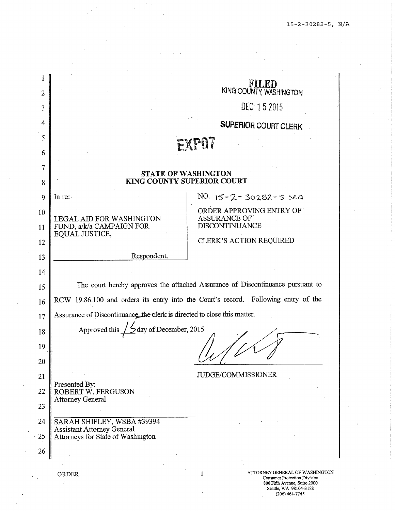| $\overline{2}$ |                                                                                    | KING COUNTY, WASHINGTON                                                                                    |  |
|----------------|------------------------------------------------------------------------------------|------------------------------------------------------------------------------------------------------------|--|
| 3              |                                                                                    | DEC 15 2015                                                                                                |  |
| 4              |                                                                                    | <b>SUPERIOR COURT CLERK</b>                                                                                |  |
| 5              |                                                                                    | EXPOT                                                                                                      |  |
| 6              |                                                                                    |                                                                                                            |  |
| 7              | <b>STATE OF WASHINGTON</b>                                                         |                                                                                                            |  |
| 8              | <b>KING COUNTY SUPERIOR COURT</b>                                                  |                                                                                                            |  |
| 9              | In re:                                                                             | NO. 15-2-30282-5 SEA                                                                                       |  |
| 10             | <b>LEGAL AID FOR WASHINGTON</b>                                                    | ORDER APPROVING ENTRY OF<br><b>ASSURANCE OF</b>                                                            |  |
| 11             | FUND, a/k/a CAMPAIGN FOR<br>EQUAL JUSTICE,                                         | <b>DISCONTINUANCE</b>                                                                                      |  |
| 12             |                                                                                    | <b>CLERK'S ACTION REQUIRED</b>                                                                             |  |
| 13             | Respondent.                                                                        |                                                                                                            |  |
| 14             |                                                                                    |                                                                                                            |  |
| 15             |                                                                                    | The court hereby approves the attached Assurance of Discontinuance pursuant to                             |  |
| 16             | RCW 19.86.100 and orders its entry into the Court's record. Following entry of the |                                                                                                            |  |
| 17             | Assurance of Discontinuance, the clerk is directed to close this matter.           |                                                                                                            |  |
| 18             | day of December, 2015<br>Approved this                                             |                                                                                                            |  |
| 19             |                                                                                    |                                                                                                            |  |
| 20             |                                                                                    |                                                                                                            |  |
| 21             |                                                                                    | <b>JUDGE/COMMISSIONER</b>                                                                                  |  |
| 22             | Presented By:<br>ROBERT W. FERGUSON                                                |                                                                                                            |  |
| 23             | <b>Attorney General</b>                                                            |                                                                                                            |  |
| 24             | SARAH SHIFLEY, WSBA #39394                                                         |                                                                                                            |  |
| 25             | <b>Assistant Attorney General</b><br>Attorneys for State of Washington             |                                                                                                            |  |
| 26             |                                                                                    |                                                                                                            |  |
|                | ORDER                                                                              | ATTORNEY GENERAL OF WASHINGTON<br>1<br><b>Consumer Protection Division</b><br>800 Fifth Avenue, Suite 2000 |  |

Seattle, WA 98104-3188 (206) 464-7745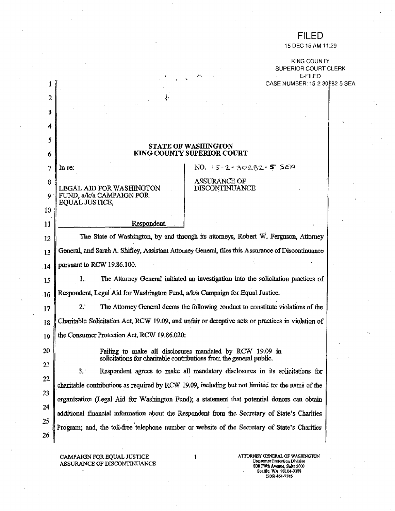## **FILED**

15 DEC 15 AM 11:29

KING COUNTY SUPERIOR COURT CLERK E-FILED CASE NHMBER: 15-2-30282-5 SEA

|                | CASE NUMBER: 15-2-3028                                                                                                                                                                  |  |  |
|----------------|-----------------------------------------------------------------------------------------------------------------------------------------------------------------------------------------|--|--|
| $\overline{2}$ | $\ddot{\cdot}$                                                                                                                                                                          |  |  |
| 3              |                                                                                                                                                                                         |  |  |
| 4              |                                                                                                                                                                                         |  |  |
| 5              |                                                                                                                                                                                         |  |  |
| 6              | <b>STATE OF WASHINGTON</b><br><b>KING COUNTY SUPERIOR COURT</b>                                                                                                                         |  |  |
| 7              | NO. 15-2-30282-5 SEA<br>In re:                                                                                                                                                          |  |  |
| 8              | <b>ASSURANCE OF</b><br>DISCONTINUANCE<br><b>LEGAL AID FOR WASHINGTON</b>                                                                                                                |  |  |
| 9.             | FUND, a/k/a CAMPAIGN FOR<br>EQUAL JUSTICE,                                                                                                                                              |  |  |
| 10             |                                                                                                                                                                                         |  |  |
| 11             | Respondent.                                                                                                                                                                             |  |  |
| 12             | The State of Washington, by and through its attorneys, Robert W. Ferguson, Attorney                                                                                                     |  |  |
| 13             | General, and Sarah A. Shifley, Assistant Attorney General, files this Assurance of Discontinuance                                                                                       |  |  |
| . 14           | pursuant to RCW 19.86.100.                                                                                                                                                              |  |  |
| 15             | The Attorney General initiated an investigation into the solicitation practices of<br>1. .                                                                                              |  |  |
| 16             | Respondent, Legal Aid for Washington Fund, a/k/a Campaign for Equal Justice.                                                                                                            |  |  |
| 17             | 2.7<br>The Attorney General deems the following conduct to constitute violations of the                                                                                                 |  |  |
| 18             | Charitable Solicitation Act, RCW 19.09, and unfair or deceptive acts or practices in violation of                                                                                       |  |  |
| 19             | the Consumer Protection Act, RCW 19.86.020:                                                                                                                                             |  |  |
| 20             | Failing to make all disclosures mandated by RCW 19.09 in                                                                                                                                |  |  |
| 21             | solicitations for charitable contributions from the general public.                                                                                                                     |  |  |
| 22             | 3.1<br>Respondent agrees to make all mandatory disclosures in its solicitations for<br>charitable contributions as required by RCW 19.09, including but not limited to: the name of the |  |  |
| 23             |                                                                                                                                                                                         |  |  |
| 24             | organization (Legal Aid for Washington Fund); a statement that potential donors can obtain                                                                                              |  |  |
| 25             | additional financial information about the Respondent from the Secretary of State's Charities                                                                                           |  |  |
| 26             | Program; and, the toll-free telephone number or website of the Secretary of State's Charities                                                                                           |  |  |

УŚ,

CAMPAIGN FOR EQUAL JUSTICE<br>ASSURANCE OF DISCONTINUANCE